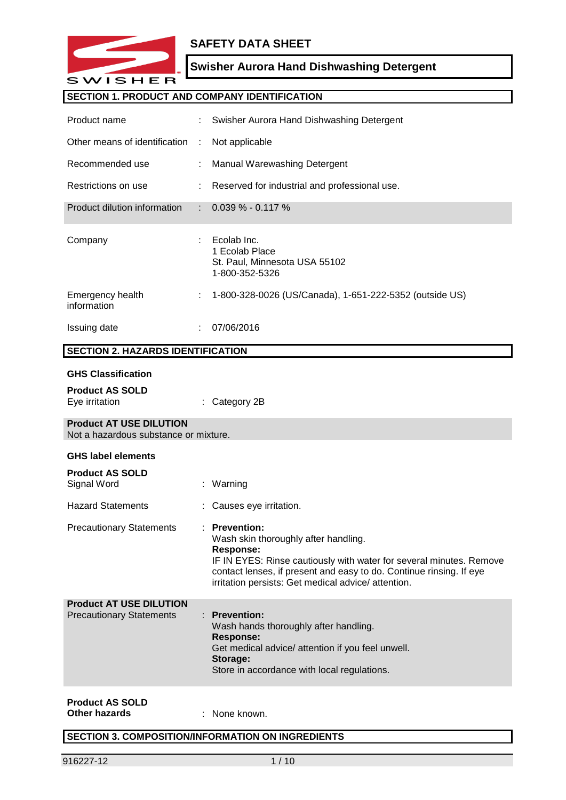

# **SAFETY DATA SHEET**

# **Swisher Aurora Hand Dishwashing Detergent**

# **SECTION 1. PRODUCT AND COMPANY IDENTIFICATION**

| Product name                                                            |   | Swisher Aurora Hand Dishwashing Detergent                                                                                                                                                                                                                                           |
|-------------------------------------------------------------------------|---|-------------------------------------------------------------------------------------------------------------------------------------------------------------------------------------------------------------------------------------------------------------------------------------|
| Other means of identification                                           | ÷ | Not applicable                                                                                                                                                                                                                                                                      |
| Recommended use                                                         |   | Manual Warewashing Detergent                                                                                                                                                                                                                                                        |
| Restrictions on use                                                     |   | Reserved for industrial and professional use.                                                                                                                                                                                                                                       |
| Product dilution information                                            |   | $0.039\% - 0.117\%$                                                                                                                                                                                                                                                                 |
| Company                                                                 |   | Ecolab Inc.<br>1 Ecolab Place<br>St. Paul, Minnesota USA 55102<br>1-800-352-5326                                                                                                                                                                                                    |
| Emergency health<br>information                                         |   | 1-800-328-0026 (US/Canada), 1-651-222-5352 (outside US)                                                                                                                                                                                                                             |
| Issuing date                                                            |   | 07/06/2016                                                                                                                                                                                                                                                                          |
| <b>SECTION 2. HAZARDS IDENTIFICATION</b>                                |   |                                                                                                                                                                                                                                                                                     |
| <b>GHS Classification</b>                                               |   |                                                                                                                                                                                                                                                                                     |
| <b>Product AS SOLD</b><br>Eye irritation                                |   | Category 2B                                                                                                                                                                                                                                                                         |
| <b>Product AT USE DILUTION</b><br>Not a hazardous substance or mixture. |   |                                                                                                                                                                                                                                                                                     |
| <b>GHS label elements</b>                                               |   |                                                                                                                                                                                                                                                                                     |
| <b>Product AS SOLD</b><br>Signal Word                                   |   | Warning                                                                                                                                                                                                                                                                             |
| <b>Hazard Statements</b>                                                |   | Causes eye irritation.                                                                                                                                                                                                                                                              |
| <b>Precautionary Statements</b>                                         |   | <b>Prevention:</b><br>Wash skin thoroughly after handling.<br><b>Response:</b><br>IF IN EYES: Rinse cautiously with water for several minutes. Remove<br>contact lenses, if present and easy to do. Continue rinsing. If eye<br>irritation persists: Get medical advice/ attention. |
| <b>Product AT USE DILUTION</b><br><b>Precautionary Statements</b>       |   | <b>Prevention:</b><br>Wash hands thoroughly after handling.<br><b>Response:</b><br>Get medical advice/ attention if you feel unwell.<br>Storage:<br>Store in accordance with local regulations.                                                                                     |
|                                                                         |   |                                                                                                                                                                                                                                                                                     |

# **Product AS SOLD**

**Other hazards** : None known.

# **SECTION 3. COMPOSITION/INFORMATION ON INGREDIENTS**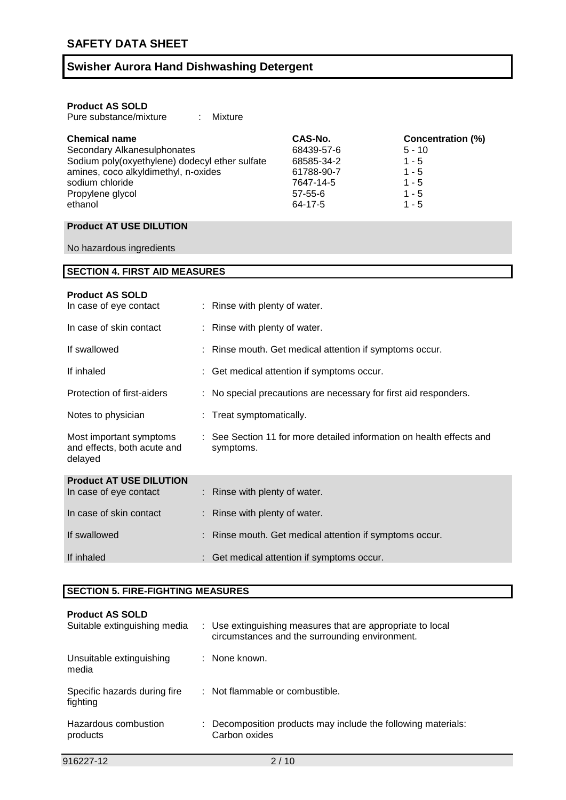| <b>Product AS SOLD</b>                         |               |                   |  |  |  |  |
|------------------------------------------------|---------------|-------------------|--|--|--|--|
| Pure substance/mixture<br>Mixture              |               |                   |  |  |  |  |
| <b>Chemical name</b>                           | CAS-No.       | Concentration (%) |  |  |  |  |
| Secondary Alkanesulphonates                    | 68439-57-6    | $5 - 10$          |  |  |  |  |
| Sodium poly(oxyethylene) dodecyl ether sulfate | 68585-34-2    | $1 - 5$           |  |  |  |  |
| amines, coco alkyldimethyl, n-oxides           | 61788-90-7    | $1 - 5$           |  |  |  |  |
| sodium chloride                                | 7647-14-5     | $1 - 5$           |  |  |  |  |
| Propylene glycol                               | $57 - 55 - 6$ | $1 - 5$           |  |  |  |  |
| ethanol                                        | 64-17-5       | $1 - 5$           |  |  |  |  |

# **Product AT USE DILUTION**

No hazardous ingredients

| <b>SECTION 4. FIRST AID MEASURES</b>                              |    |                                                                                   |
|-------------------------------------------------------------------|----|-----------------------------------------------------------------------------------|
| <b>Product AS SOLD</b><br>In case of eye contact                  |    | : Rinse with plenty of water.                                                     |
| In case of skin contact                                           |    | Rinse with plenty of water.                                                       |
| If swallowed                                                      |    | Rinse mouth. Get medical attention if symptoms occur.                             |
| If inhaled                                                        | t. | Get medical attention if symptoms occur.                                          |
| Protection of first-aiders                                        |    | No special precautions are necessary for first aid responders.                    |
| Notes to physician                                                |    | Treat symptomatically.                                                            |
| Most important symptoms<br>and effects, both acute and<br>delayed |    | : See Section 11 for more detailed information on health effects and<br>symptoms. |
| <b>Product AT USE DILUTION</b>                                    |    |                                                                                   |
| In case of eye contact                                            |    | : Rinse with plenty of water.                                                     |
| In case of skin contact                                           |    | Rinse with plenty of water.                                                       |
| If swallowed                                                      |    | Rinse mouth. Get medical attention if symptoms occur.                             |
| If inhaled                                                        |    | Get medical attention if symptoms occur.                                          |

## **SECTION 5. FIRE-FIGHTING MEASURES**

| <b>Product AS SOLD</b><br>Suitable extinguishing media | : Use extinguishing measures that are appropriate to local<br>circumstances and the surrounding environment. |
|--------------------------------------------------------|--------------------------------------------------------------------------------------------------------------|
| Unsuitable extinguishing<br>media                      | : None known.                                                                                                |
| Specific hazards during fire<br>fighting               | : Not flammable or combustible.                                                                              |
| Hazardous combustion<br>products                       | $\therefore$ Decomposition products may include the following materials:<br>Carbon oxides                    |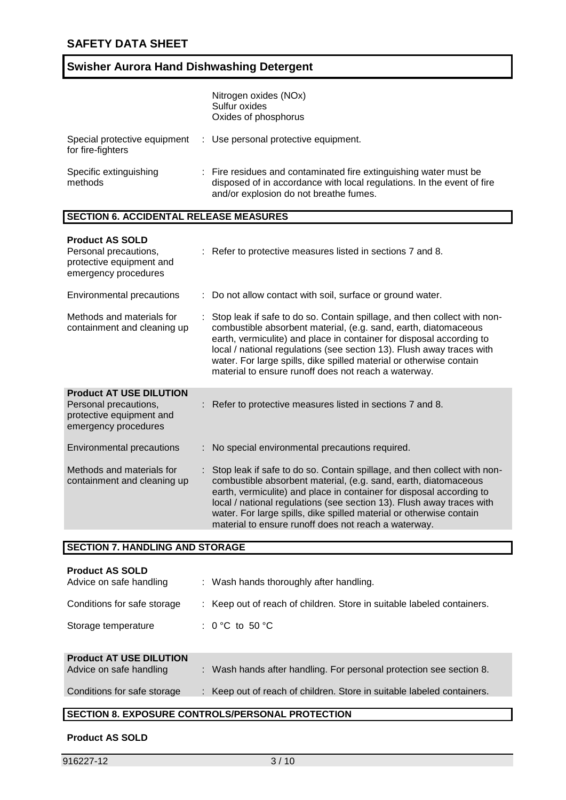|                                                   | Nitrogen oxides (NOx)<br>Sulfur oxides<br>Oxides of phosphorus                                                                                                                        |
|---------------------------------------------------|---------------------------------------------------------------------------------------------------------------------------------------------------------------------------------------|
| Special protective equipment<br>for fire-fighters | : Use personal protective equipment.                                                                                                                                                  |
| Specific extinguishing<br>methods                 | : Fire residues and contaminated fire extinguishing water must be<br>disposed of in accordance with local regulations. In the event of fire<br>and/or explosion do not breathe fumes. |

### **SECTION 6. ACCIDENTAL RELEASE MEASURES**

| <b>Product AS SOLD</b><br>Personal precautions,<br>protective equipment and<br>emergency procedures         | : Refer to protective measures listed in sections 7 and 8.                                                                                                                                                                                                                                                                                                                                                                    |
|-------------------------------------------------------------------------------------------------------------|-------------------------------------------------------------------------------------------------------------------------------------------------------------------------------------------------------------------------------------------------------------------------------------------------------------------------------------------------------------------------------------------------------------------------------|
| Environmental precautions                                                                                   | : Do not allow contact with soil, surface or ground water.                                                                                                                                                                                                                                                                                                                                                                    |
| Methods and materials for<br>containment and cleaning up                                                    | : Stop leak if safe to do so. Contain spillage, and then collect with non-<br>combustible absorbent material, (e.g. sand, earth, diatomaceous<br>earth, vermiculite) and place in container for disposal according to<br>local / national regulations (see section 13). Flush away traces with<br>water. For large spills, dike spilled material or otherwise contain<br>material to ensure runoff does not reach a waterway. |
| <b>Product AT USE DILUTION</b><br>Personal precautions,<br>protective equipment and<br>emergency procedures | Refer to protective measures listed in sections 7 and 8.                                                                                                                                                                                                                                                                                                                                                                      |
| Environmental precautions                                                                                   | : No special environmental precautions required.                                                                                                                                                                                                                                                                                                                                                                              |
| Methods and materials for<br>containment and cleaning up                                                    | : Stop leak if safe to do so. Contain spillage, and then collect with non-<br>combustible absorbent material, (e.g. sand, earth, diatomaceous<br>earth, vermiculite) and place in container for disposal according to<br>local / national regulations (see section 13). Flush away traces with<br>water. For large spills, dike spilled material or otherwise contain<br>material to ensure runoff does not reach a waterway. |

### **SECTION 7. HANDLING AND STORAGE**

| <b>Product AS SOLD</b><br>Advice on safe handling | : Wash hands thoroughly after handling.                                |
|---------------------------------------------------|------------------------------------------------------------------------|
| Conditions for safe storage                       | : Keep out of reach of children. Store in suitable labeled containers. |
| Storage temperature                               | : $0^{\circ}$ C to 50 $^{\circ}$ C                                     |
| <b>Product AT USE DILUTION</b>                    |                                                                        |

| Advice on safe handling | Wash hands after handling. For personal protection see section 8. |
|-------------------------|-------------------------------------------------------------------|
|                         |                                                                   |

Conditions for safe storage : Keep out of reach of children. Store in suitable labeled containers.

# **SECTION 8. EXPOSURE CONTROLS/PERSONAL PROTECTION**

### **Product AS SOLD**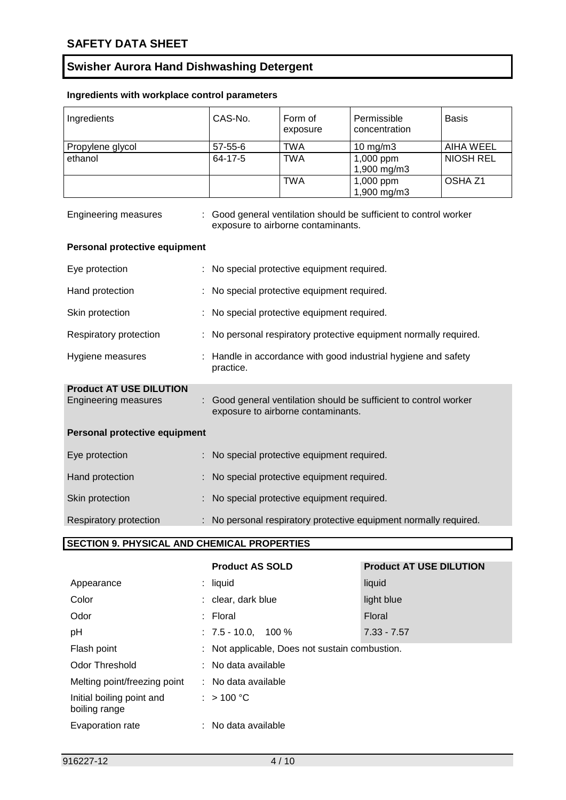# **Ingredients with workplace control parameters**

| Ingredients                    | CAS-No.                                     | Form of<br>exposure                       | Permissible<br>concentration                                      | <b>Basis</b>       |
|--------------------------------|---------------------------------------------|-------------------------------------------|-------------------------------------------------------------------|--------------------|
| Propylene glycol               | $57 - 55 - 6$                               | <b>TWA</b>                                | 10 $mg/m3$                                                        | <b>AIHA WEEL</b>   |
| ethanol                        | 64-17-5                                     | <b>TWA</b>                                | 1,000 ppm<br>1,900 mg/m3                                          | <b>NIOSH REL</b>   |
|                                |                                             | <b>TWA</b>                                | 1,000 ppm<br>1,900 mg/m3                                          | OSHA <sub>Z1</sub> |
| <b>Engineering measures</b>    |                                             | exposure to airborne contaminants.        | Good general ventilation should be sufficient to control worker   |                    |
| Personal protective equipment  |                                             |                                           |                                                                   |                    |
| Eye protection                 | : No special protective equipment required. |                                           |                                                                   |                    |
| Hand protection                |                                             | No special protective equipment required. |                                                                   |                    |
| Skin protection                |                                             | No special protective equipment required. |                                                                   |                    |
| Respiratory protection         |                                             |                                           | : No personal respiratory protective equipment normally required. |                    |
| Hygiene measures               | practice.                                   |                                           | : Handle in accordance with good industrial hygiene and safety    |                    |
| <b>Product AT USE DILUTION</b> |                                             |                                           |                                                                   |                    |
| <b>Engineering measures</b>    |                                             | exposure to airborne contaminants.        | : Good general ventilation should be sufficient to control worker |                    |
| Personal protective equipment  |                                             |                                           |                                                                   |                    |
| Eye protection                 | : No special protective equipment required. |                                           |                                                                   |                    |
| Hand protection                |                                             | No special protective equipment required. |                                                                   |                    |
| Skin protection                |                                             | No special protective equipment required. |                                                                   |                    |
| Respiratory protection         |                                             |                                           | No personal respiratory protective equipment normally required.   |                    |

# **SECTION 9. PHYSICAL AND CHEMICAL PROPERTIES**

|                                            | <b>Product AS SOLD</b>                         | <b>Product AT USE DILUTION</b> |
|--------------------------------------------|------------------------------------------------|--------------------------------|
| Appearance                                 | $:$ liquid                                     | liquid                         |
| Color                                      | : clear, dark blue                             | light blue                     |
| Odor                                       | $:$ Floral                                     | Floral                         |
| pH                                         | $: 7.5 - 10.0$ . 100 %                         | $7.33 - 7.57$                  |
| Flash point                                | : Not applicable, Does not sustain combustion. |                                |
| <b>Odor Threshold</b>                      | : No data available                            |                                |
| Melting point/freezing point               | : No data available                            |                                |
| Initial boiling point and<br>boiling range | : $> 100 °C$                                   |                                |
| Evaporation rate                           | No data available                              |                                |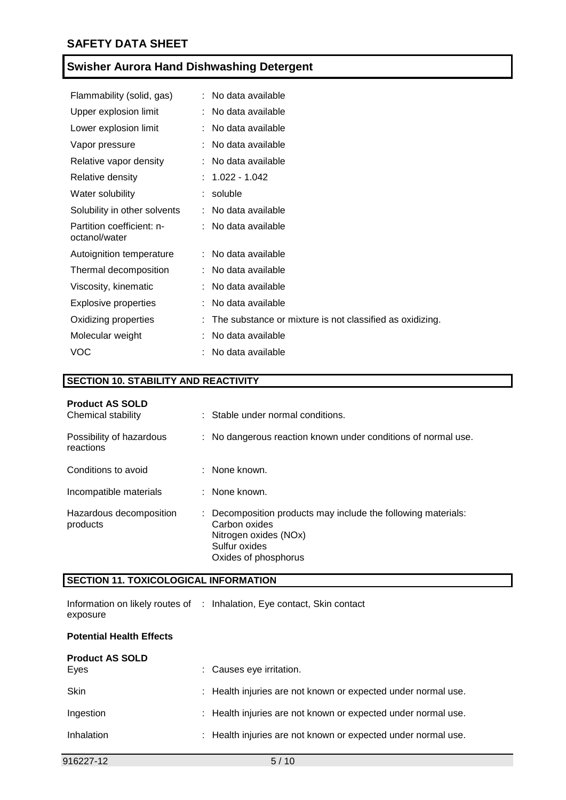| Flammability (solid, gas)                  | : No data available                                      |
|--------------------------------------------|----------------------------------------------------------|
| Upper explosion limit                      | : No data available                                      |
| Lower explosion limit                      | No data available                                        |
| Vapor pressure                             | No data available                                        |
| Relative vapor density                     | : No data available                                      |
| Relative density                           | $: 1.022 - 1.042$                                        |
| Water solubility                           | $:$ soluble                                              |
| Solubility in other solvents               | : No data available                                      |
| Partition coefficient: n-<br>octanol/water | : No data available                                      |
| Autoignition temperature                   | : No data available                                      |
| Thermal decomposition                      | : No data available                                      |
| Viscosity, kinematic                       | No data available                                        |
| <b>Explosive properties</b>                | No data available                                        |
| Oxidizing properties                       | The substance or mixture is not classified as oxidizing. |
| Molecular weight                           | No data available                                        |
| <b>VOC</b>                                 | No data available                                        |

# **SECTION 10. STABILITY AND REACTIVITY**

| <b>Product AS SOLD</b><br>Chemical stability |    | : Stable under normal conditions.                                                                                                              |
|----------------------------------------------|----|------------------------------------------------------------------------------------------------------------------------------------------------|
| Possibility of hazardous<br>reactions        |    | : No dangerous reaction known under conditions of normal use.                                                                                  |
| Conditions to avoid                          |    | : None known.                                                                                                                                  |
| Incompatible materials                       |    | : None known.                                                                                                                                  |
| Hazardous decomposition<br>products          | ÷. | Decomposition products may include the following materials:<br>Carbon oxides<br>Nitrogen oxides (NOx)<br>Sulfur oxides<br>Oxides of phosphorus |

## **SECTION 11. TOXICOLOGICAL INFORMATION**

|          | Information on likely routes of : Inhalation, Eye contact, Skin contact |
|----------|-------------------------------------------------------------------------|
| exposure |                                                                         |

### **Potential Health Effects**

| <b>Product AS SOLD</b><br>Eyes | : Causes eye irritation.                                      |
|--------------------------------|---------------------------------------------------------------|
| <b>Skin</b>                    | : Health injuries are not known or expected under normal use. |
| Ingestion                      | : Health injuries are not known or expected under normal use. |
| Inhalation                     | : Health injuries are not known or expected under normal use. |
|                                |                                                               |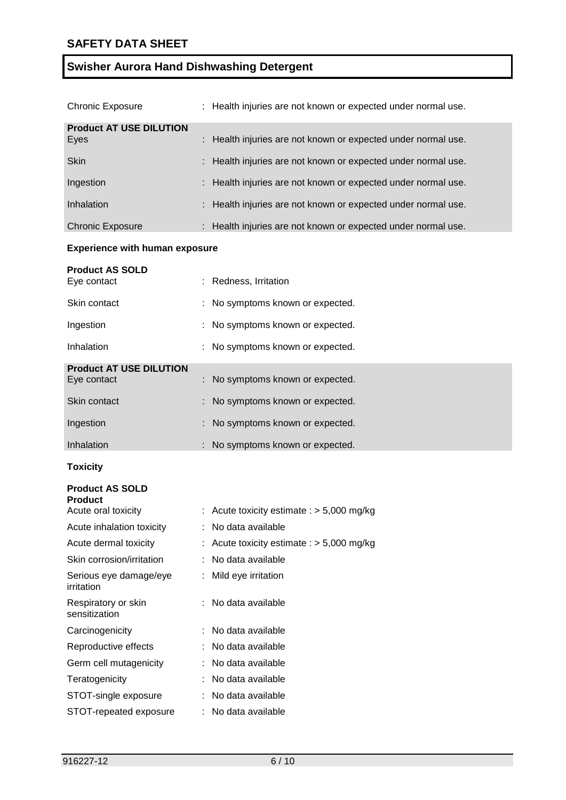| <b>Chronic Exposure</b>                | : Health injuries are not known or expected under normal use. |
|----------------------------------------|---------------------------------------------------------------|
| <b>Product AT USE DILUTION</b><br>Eyes | : Health injuries are not known or expected under normal use. |
| <b>Skin</b>                            | : Health injuries are not known or expected under normal use. |
| Ingestion                              | : Health injuries are not known or expected under normal use. |
| Inhalation                             | : Health injuries are not known or expected under normal use. |
| <b>Chronic Exposure</b>                | : Health injuries are not known or expected under normal use. |

## **Experience with human exposure**

| <b>Product AS SOLD</b><br>Eye contact | : Redness, Irritation            |
|---------------------------------------|----------------------------------|
| Skin contact                          | : No symptoms known or expected. |
| Ingestion                             | : No symptoms known or expected. |
| Inhalation                            | : No symptoms known or expected. |
| <b>Product AT USE DILUTION</b>        |                                  |
| Eye contact                           | : No symptoms known or expected. |
| Skin contact                          | : No symptoms known or expected. |
| Ingestion                             | : No symptoms known or expected. |
| Inhalation                            | : No symptoms known or expected. |

# **Toxicity**

| <b>Product AS SOLD</b><br><b>Product</b> |                                           |
|------------------------------------------|-------------------------------------------|
| Acute oral toxicity                      | Acute toxicity estimate : $>$ 5,000 mg/kg |
| Acute inhalation toxicity                | No data available                         |
| Acute dermal toxicity                    | Acute toxicity estimate : $>$ 5,000 mg/kg |
| Skin corrosion/irritation                | No data available                         |
| Serious eye damage/eye<br>irritation     | Mild eye irritation                       |
| Respiratory or skin<br>sensitization     | : No data available                       |
| Carcinogenicity                          | : No data available                       |
| Reproductive effects                     | : No data available                       |
| Germ cell mutagenicity                   | No data available                         |
| Teratogenicity                           | No data available                         |
| STOT-single exposure                     | No data available                         |
| STOT-repeated exposure                   | No data available                         |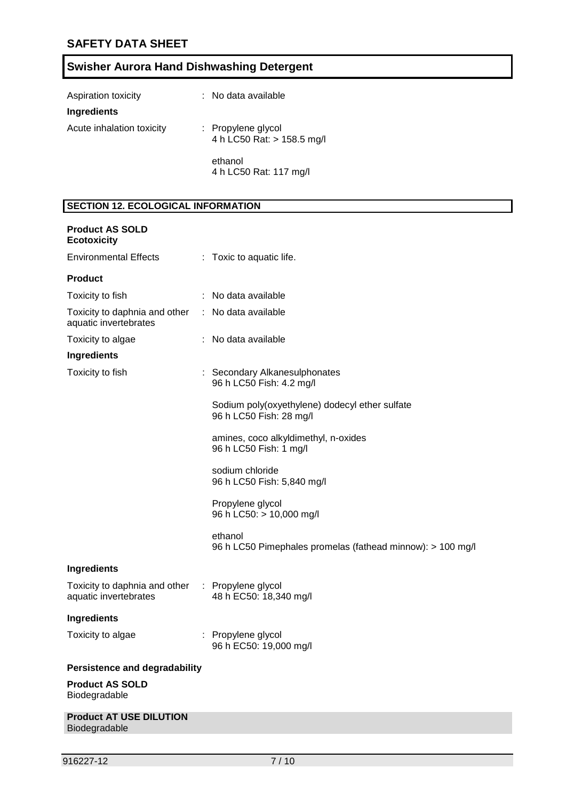|  |  |  | <b>Swisher Aurora Hand Dishwashing Detergent</b> |  |
|--|--|--|--------------------------------------------------|--|
|--|--|--|--------------------------------------------------|--|

| Aspiration toxicity       | : No data available                              |
|---------------------------|--------------------------------------------------|
| Ingredients               |                                                  |
| Acute inhalation toxicity | : Propylene glycol<br>4 h LC50 Rat: > 158.5 mg/l |
|                           | ethanol<br>4 h LC50 Rat: 117 mg/l                |

# **SECTION 12. ECOLOGICAL INFORMATION**

| <b>Product AS SOLD</b><br><b>Ecotoxicity</b>                               |                                                                           |
|----------------------------------------------------------------------------|---------------------------------------------------------------------------|
| <b>Environmental Effects</b>                                               | : Toxic to aquatic life.                                                  |
| <b>Product</b>                                                             |                                                                           |
| Toxicity to fish                                                           | : No data available                                                       |
| Toxicity to daphnia and other : No data available<br>aquatic invertebrates |                                                                           |
| Toxicity to algae                                                          | : No data available                                                       |
| Ingredients                                                                |                                                                           |
| Toxicity to fish                                                           | : Secondary Alkanesulphonates<br>96 h LC50 Fish: 4.2 mg/l                 |
|                                                                            | Sodium poly(oxyethylene) dodecyl ether sulfate<br>96 h LC50 Fish: 28 mg/l |
|                                                                            | amines, coco alkyldimethyl, n-oxides<br>96 h LC50 Fish: 1 mg/l            |
|                                                                            | sodium chloride<br>96 h LC50 Fish: 5,840 mg/l                             |
|                                                                            | Propylene glycol<br>96 h LC50: > 10,000 mg/l                              |
|                                                                            | ethanol<br>96 h LC50 Pimephales promelas (fathead minnow): > 100 mg/l     |
| Ingredients                                                                |                                                                           |
| Toxicity to daphnia and other : Propylene glycol<br>aquatic invertebrates  | 48 h EC50: 18,340 mg/l                                                    |
| Ingredients                                                                |                                                                           |
| Toxicity to algae                                                          | : Propylene glycol<br>96 h EC50: 19,000 mg/l                              |
| <b>Persistence and degradability</b>                                       |                                                                           |
| <b>Product AS SOLD</b><br>Biodegradable                                    |                                                                           |
| <b>Product AT USE DILUTION</b><br>Biodegradable                            |                                                                           |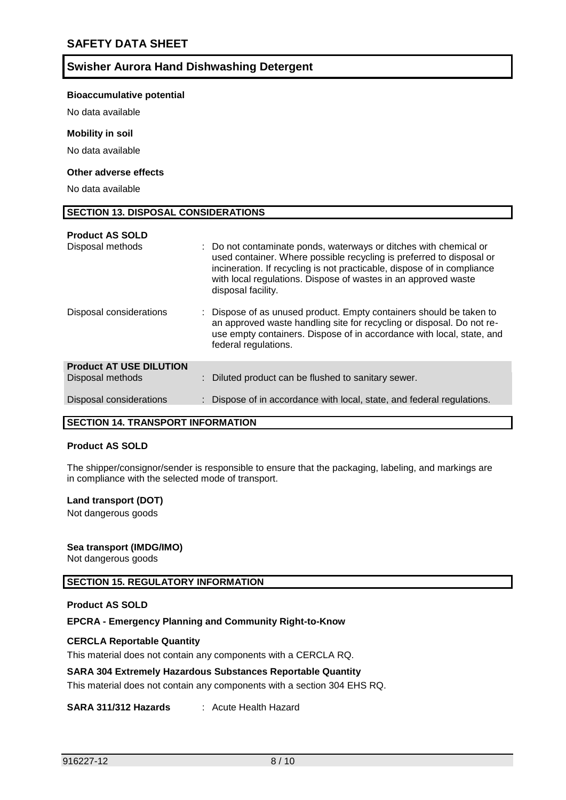#### **Bioaccumulative potential**

No data available

#### **Mobility in soil**

No data available

### **Other adverse effects**

No data available

#### **SECTION 13. DISPOSAL CONSIDERATIONS**

| <b>Product AS SOLD</b>         |                                                                                                                                                                                                                                                                                                              |
|--------------------------------|--------------------------------------------------------------------------------------------------------------------------------------------------------------------------------------------------------------------------------------------------------------------------------------------------------------|
| Disposal methods               | : Do not contaminate ponds, waterways or ditches with chemical or<br>used container. Where possible recycling is preferred to disposal or<br>incineration. If recycling is not practicable, dispose of in compliance<br>with local regulations. Dispose of wastes in an approved waste<br>disposal facility. |
| Disposal considerations        | : Dispose of as unused product. Empty containers should be taken to<br>an approved waste handling site for recycling or disposal. Do not re-<br>use empty containers. Dispose of in accordance with local, state, and<br>federal regulations.                                                                |
| <b>Product AT USE DILUTION</b> |                                                                                                                                                                                                                                                                                                              |
| Disposal methods               | : Diluted product can be flushed to sanitary sewer.                                                                                                                                                                                                                                                          |
| Disposal considerations        | : Dispose of in accordance with local, state, and federal regulations.                                                                                                                                                                                                                                       |
|                                |                                                                                                                                                                                                                                                                                                              |

### **SECTION 14. TRANSPORT INFORMATION**

#### **Product AS SOLD**

The shipper/consignor/sender is responsible to ensure that the packaging, labeling, and markings are in compliance with the selected mode of transport.

#### **Land transport (DOT)**

Not dangerous goods

#### **Sea transport (IMDG/IMO)**

Not dangerous goods

### **SECTION 15. REGULATORY INFORMATION**

#### **Product AS SOLD**

#### **EPCRA - Emergency Planning and Community Right-to-Know**

#### **CERCLA Reportable Quantity**

This material does not contain any components with a CERCLA RQ.

#### **SARA 304 Extremely Hazardous Substances Reportable Quantity**

This material does not contain any components with a section 304 EHS RQ.

#### **SARA 311/312 Hazards** : Acute Health Hazard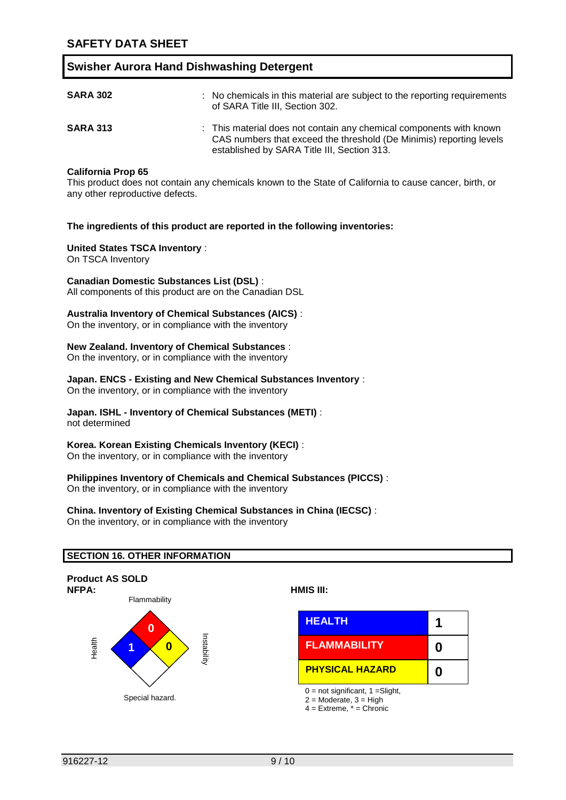| <b>SARA 302</b> | : No chemicals in this material are subject to the reporting requirements<br>of SARA Title III, Section 302.                                                                              |
|-----------------|-------------------------------------------------------------------------------------------------------------------------------------------------------------------------------------------|
| <b>SARA 313</b> | : This material does not contain any chemical components with known<br>CAS numbers that exceed the threshold (De Minimis) reporting levels<br>established by SARA Title III, Section 313. |

#### **California Prop 65**

This product does not contain any chemicals known to the State of California to cause cancer, birth, or any other reproductive defects.

#### **The ingredients of this product are reported in the following inventories:**

#### **United States TSCA Inventory** :

On TSCA Inventory

#### **Canadian Domestic Substances List (DSL)** :

All components of this product are on the Canadian DSL

#### **Australia Inventory of Chemical Substances (AICS)** :

On the inventory, or in compliance with the inventory

#### **New Zealand. Inventory of Chemical Substances** :

On the inventory, or in compliance with the inventory

#### **Japan. ENCS - Existing and New Chemical Substances Inventory** :

On the inventory, or in compliance with the inventory

### **Japan. ISHL - Inventory of Chemical Substances (METI)** :

not determined

### **Korea. Korean Existing Chemicals Inventory (KECI)** :

On the inventory, or in compliance with the inventory

### **Philippines Inventory of Chemicals and Chemical Substances (PICCS)** :

On the inventory, or in compliance with the inventory

#### **China. Inventory of Existing Chemical Substances in China (IECSC)** :

On the inventory, or in compliance with the inventory

### **SECTION 16. OTHER INFORMATION**